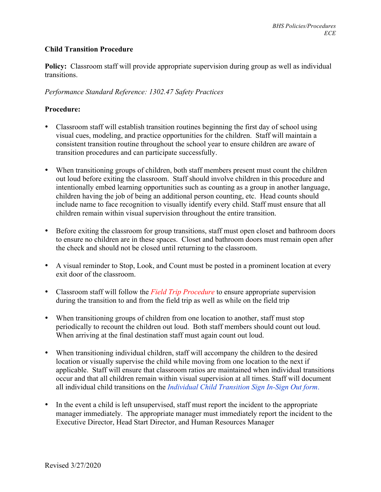## **Child Transition Procedure**

**Policy:** Classroom staff will provide appropriate supervision during group as well as individual transitions.

## *Performance Standard Reference: 1302.47 Safety Practices*

## **Procedure:**

- Classroom staff will establish transition routines beginning the first day of school using visual cues, modeling, and practice opportunities for the children. Staff will maintain a consistent transition routine throughout the school year to ensure children are aware of transition procedures and can participate successfully.
- When transitioning groups of children, both staff members present must count the children out loud before exiting the classroom. Staff should involve children in this procedure and intentionally embed learning opportunities such as counting as a group in another language, children having the job of being an additional person counting, etc. Head counts should include name to face recognition to visually identify every child. Staff must ensure that all children remain within visual supervision throughout the entire transition.
- Before exiting the classroom for group transitions, staff must open closet and bathroom doors to ensure no children are in these spaces. Closet and bathroom doors must remain open after the check and should not be closed until returning to the classroom.
- A visual reminder to Stop, Look, and Count must be posted in a prominent location at every exit door of the classroom.
- Classroom staff will follow the *Field Trip Procedure* to ensure appropriate supervision during the transition to and from the field trip as well as while on the field trip
- When transitioning groups of children from one location to another, staff must stop periodically to recount the children out loud. Both staff members should count out loud. When arriving at the final destination staff must again count out loud.
- When transitioning individual children, staff will accompany the children to the desired location or visually supervise the child while moving from one location to the next if applicable. Staff will ensure that classroom ratios are maintained when individual transitions occur and that all children remain within visual supervision at all times. Staff will document all individual child transitions on the *Individual Child Transition Sign In-Sign Out form*.
- In the event a child is left unsupervised, staff must report the incident to the appropriate manager immediately. The appropriate manager must immediately report the incident to the Executive Director, Head Start Director, and Human Resources Manager